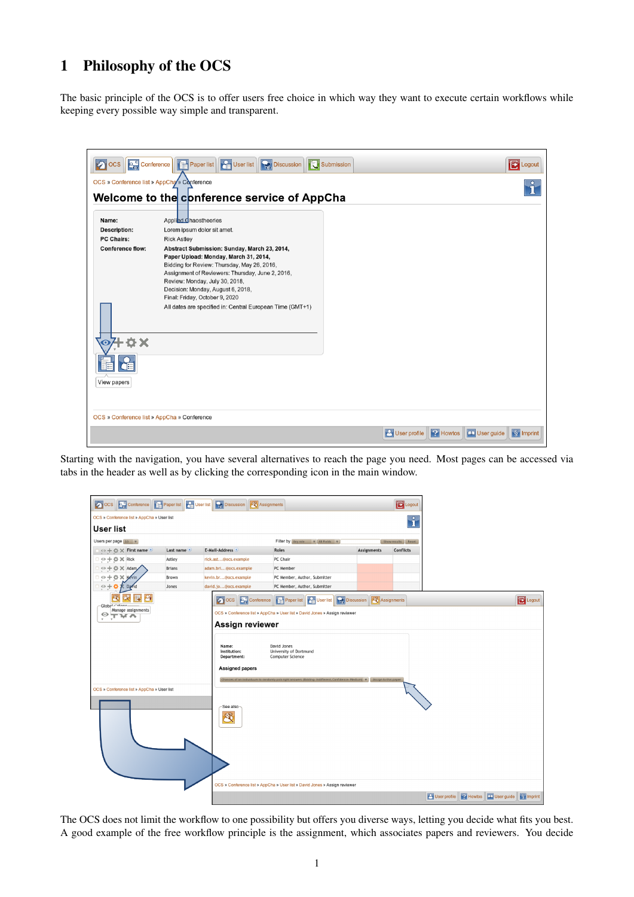## <span id="page-0-0"></span>1 Philosophy of the OCS

The basic principle of the OCS is to offer users free choice in which way they want to execute certain workflows while keeping every possible way simple and transparent.

| <b>Des</b> Conference<br>$\bullet$ $\circ$    | <b>De User list</b><br><b>Discussion</b><br><b>Paper list</b>                                                                                                                                                                                                                                                                                                  | Submission |                                             | <b>B</b> Logout                   |
|-----------------------------------------------|----------------------------------------------------------------------------------------------------------------------------------------------------------------------------------------------------------------------------------------------------------------------------------------------------------------------------------------------------------------|------------|---------------------------------------------|-----------------------------------|
| OCS » Conference list » AppCha » Conference   |                                                                                                                                                                                                                                                                                                                                                                |            |                                             |                                   |
|                                               | Welcome to the conference service of AppCha                                                                                                                                                                                                                                                                                                                    |            |                                             |                                   |
| Name:                                         | Applied Chaostheories                                                                                                                                                                                                                                                                                                                                          |            |                                             |                                   |
| Description:                                  | Lorem ipsum dolor sit amet.                                                                                                                                                                                                                                                                                                                                    |            |                                             |                                   |
| <b>PC Chairs:</b>                             | <b>Rick Astley</b>                                                                                                                                                                                                                                                                                                                                             |            |                                             |                                   |
| <b>Conference flow:</b><br>+o×<br>View papers | Abstract Submission: Sunday, March 23, 2014,<br>Paper Upload: Monday, March 31, 2014,<br>Bidding for Review: Thursday, May 26, 2016,<br>Assignment of Reviewers: Thursday, June 2, 2016,<br>Review: Monday, July 30, 2018,<br>Decision: Monday, August 6, 2018,<br>Final: Friday, October 9, 2020<br>All dates are specified in: Central European Time (GMT+1) |            |                                             |                                   |
| OCS » Conference list » AppCha » Conference   |                                                                                                                                                                                                                                                                                                                                                                |            |                                             |                                   |
|                                               |                                                                                                                                                                                                                                                                                                                                                                |            | $  2  $ Howtos $ $<br><b>P</b> User profile | User guide<br>$\sqrt{\S}$ Imprint |

Starting with the navigation, you have several alternatives to reach the page you need. Most pages can be accessed via tabs in the header as well as by clicking the corresponding icon in the main window.

| Conference<br>$\bullet$ $\circ$ cs         | Paper list C User list | <b>Discussion</b><br><b>EX</b> Assignments |                                                                                |                         | <b>D</b> Logout    |                                                     |                       |
|--------------------------------------------|------------------------|--------------------------------------------|--------------------------------------------------------------------------------|-------------------------|--------------------|-----------------------------------------------------|-----------------------|
| OCS » Conference list » AppCha » User list |                        |                                            |                                                                                |                         | i                  |                                                     |                       |
| <b>User list</b>                           |                        |                                            |                                                                                |                         |                    |                                                     |                       |
| Users per page 10 v                        |                        |                                            | Filter by Any role   v   All Fields   v                                        |                         | Show results Reset |                                                     |                       |
| ⊙ + ☆ × First name ●                       | Last name <sup>o</sup> | E-Mail-Address ®                           | Roles                                                                          | <b>Assignments</b>      | Conflicts          |                                                     |                       |
| ⊙ + ⇔ X Rick                               | Astley                 | rick.ast@ocs.example                       | PC Chair                                                                       |                         |                    |                                                     |                       |
| ⊙ + ☆ ※ Adam                               | <b>Brians</b>          | adam.bri@ocs.example                       | PC Member                                                                      |                         |                    |                                                     |                       |
| <b>C X Kevin</b><br>$\circ$ +              | Brown                  | kevin.br@ocs.example                       | PC Member, Author, Submitter                                                   |                         |                    |                                                     |                       |
| $\circ$ +<br>avid                          | Jones                  | david.jo@ocs.example                       | PC Member, Author, Submitter                                                   |                         |                    |                                                     |                       |
|                                            |                        | $\bullet$ ocs<br><b>De Conference</b>      | <b>Discussion</b><br><b>Parise User list</b><br>Paper list                     | <b>R</b><br>Assignments |                    |                                                     | E Logout              |
| Global<br>Manage assignments               |                        |                                            | OCS » Conference list » AppCha » User list » David Jones » Assign reviewer     |                         |                    |                                                     |                       |
| ⊙<br>',⊤ਆਨ<br>$\mathbf{v}$                 |                        |                                            |                                                                                |                         |                    |                                                     |                       |
|                                            |                        | Assign reviewer                            |                                                                                |                         |                    |                                                     |                       |
|                                            |                        |                                            |                                                                                |                         |                    |                                                     |                       |
|                                            |                        | Name:<br>Institution:                      | David Jones<br>University of Dortmund                                          |                         |                    |                                                     |                       |
|                                            |                        | Department:                                | Computer Science                                                               |                         |                    |                                                     |                       |
|                                            |                        | <b>Assigned papers</b>                     |                                                                                |                         |                    |                                                     |                       |
|                                            |                        |                                            |                                                                                |                         |                    |                                                     |                       |
|                                            |                        | Chances of an individ                      | um to randomly pick right answers (Bidding: Indifferent, Confidence: Medium) v | Assign to this paper    |                    |                                                     |                       |
| OCS » Conference list » AppCha » User list |                        |                                            |                                                                                |                         |                    |                                                     |                       |
|                                            |                        |                                            |                                                                                |                         |                    |                                                     |                       |
|                                            |                        | See also-<br>8                             |                                                                                |                         |                    |                                                     |                       |
|                                            |                        |                                            |                                                                                |                         |                    |                                                     |                       |
|                                            |                        |                                            |                                                                                |                         |                    |                                                     |                       |
|                                            |                        |                                            | OCS » Conference list » AppCha » User list » David Jones » Assign reviewer     |                         |                    |                                                     |                       |
|                                            |                        |                                            |                                                                                |                         |                    | <b>B</b> User profile <b>P</b> Howtos<br>User guide | $\frac{1}{2}$ Imprint |

The OCS does not limit the workflow to one possibility but offers you diverse ways, letting you decide what fits you best. A good example of the free workflow principle is the assignment, which associates papers and reviewers. You decide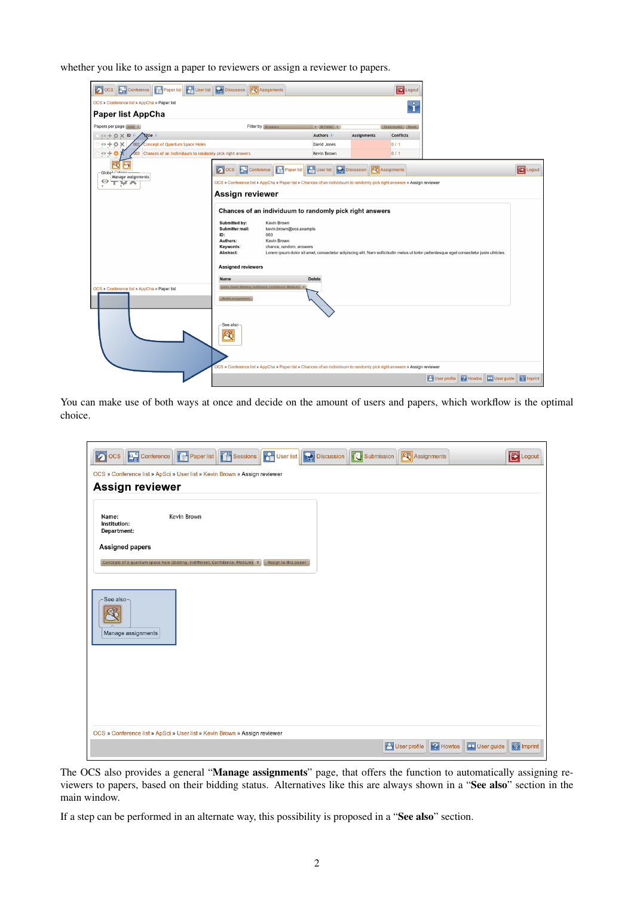whether you like to assign a paper to reviewers or assign a reviewer to papers.

| <b>Faper list</b>   <b>Ca</b> User list<br>pocs<br><b>D<sub>G</sub></b> Conference | <b>Discussion</b><br><b>Assignments</b><br><b>E</b> Logout                                                                                                                                                                                                                                                                                                                                                                                                                                       |                       |
|------------------------------------------------------------------------------------|--------------------------------------------------------------------------------------------------------------------------------------------------------------------------------------------------------------------------------------------------------------------------------------------------------------------------------------------------------------------------------------------------------------------------------------------------------------------------------------------------|-----------------------|
| OCS » Conference list » AppCha » Paper list                                        | ĥ                                                                                                                                                                                                                                                                                                                                                                                                                                                                                                |                       |
| <b>Paper list AppCha</b>                                                           |                                                                                                                                                                                                                                                                                                                                                                                                                                                                                                  |                       |
| Papers per page 1000 v                                                             | Filter by All papers<br>$\nabla$ All Fields $\nabla$<br>Show results Reset                                                                                                                                                                                                                                                                                                                                                                                                                       |                       |
| $\circ + \circ \times \mathsf{ID} \circ$<br><b>Nitle</b> O                         | Authors .<br><b>Conflicts</b><br><b>Assignments</b>                                                                                                                                                                                                                                                                                                                                                                                                                                              |                       |
| $\circ + \circ \times$<br><b>Concept of Quantum Space Holes</b><br>002             | David Jones<br>0/1                                                                                                                                                                                                                                                                                                                                                                                                                                                                               |                       |
| $\circ + \circ$<br>003 Chances of an individuum to randomly pick right answers     | Kevin Brown<br>0/1                                                                                                                                                                                                                                                                                                                                                                                                                                                                               |                       |
| Global of the Contract<br>Manage assignments                                       | $\circ$ ocs<br><b>Part User list</b><br><b>Discussion</b><br><b>De Conference</b><br><b>EX</b> Assignments<br>Paper list                                                                                                                                                                                                                                                                                                                                                                         | <b>Ex</b> Logout      |
| $\circ$ THA                                                                        | OCS » Conference list » AppCha » Paper list » Chances of an individuum to randomly pick right answers » Assign reviewer                                                                                                                                                                                                                                                                                                                                                                          |                       |
|                                                                                    | Assign reviewer                                                                                                                                                                                                                                                                                                                                                                                                                                                                                  |                       |
| OCS » Conference list » AppCha » Paper list                                        | Chances of an individuum to randomly pick right answers<br>Submitted by:<br>Kevin Brown<br>Submitter mail:<br>kevin.brown@ocs.example<br>ID:<br>003<br>Authors:<br>Kevin Brown<br>Keywords:<br>chance, random, answers<br>Abstract:<br>Lorem ipsum dolor sit amet, consectetur adipiscing elit. Nam sollicitudin metus ut tortor pellentesque eget consectetur justo ultricies.<br><b>Assigned reviewers</b><br><b>Delete</b><br>Name<br>Jones, David (Bidding: Indifferent, Confidence: Medium) |                       |
|                                                                                    | Modify assignments                                                                                                                                                                                                                                                                                                                                                                                                                                                                               |                       |
|                                                                                    | See also-<br>蜉                                                                                                                                                                                                                                                                                                                                                                                                                                                                                   |                       |
|                                                                                    | OCS » Conference list » AppCha » Paper list » Chances of an individuum to randomly pick right answers » Assign reviewer                                                                                                                                                                                                                                                                                                                                                                          |                       |
|                                                                                    | User profile<br><b>2</b> Howtos<br>User guide                                                                                                                                                                                                                                                                                                                                                                                                                                                    | $\frac{1}{2}$ Imprint |

You can make use of both ways at once and decide on the amount of users and papers, which workflow is the optimal choice.

| <b>De Conference</b><br><b>D</b> ocs                                      | <b>Paper list Tab</b> Sessions                                                              | <b>Ca</b> User list<br><b>Discussion</b> | Submission            | <b>Assignments</b>            | <b>E</b> Logout     |  |
|---------------------------------------------------------------------------|---------------------------------------------------------------------------------------------|------------------------------------------|-----------------------|-------------------------------|---------------------|--|
| OCS » Conference list » ApSci » User list » Kevin Brown » Assign reviewer |                                                                                             |                                          |                       |                               |                     |  |
| <b>Assign reviewer</b>                                                    |                                                                                             |                                          |                       |                               |                     |  |
| Name:<br>Institution:<br>Department:                                      | Kevin Brown                                                                                 |                                          |                       |                               |                     |  |
| <b>Assigned papers</b>                                                    |                                                                                             |                                          |                       |                               |                     |  |
|                                                                           | Concepts of a quantum space hole (Bidding: Indifferent, Confidence: Medium) $\triangledown$ | Assign to this paper                     |                       |                               |                     |  |
|                                                                           |                                                                                             |                                          |                       |                               |                     |  |
| See also<br>Manage assignments                                            |                                                                                             |                                          |                       |                               |                     |  |
|                                                                           |                                                                                             |                                          |                       |                               |                     |  |
|                                                                           |                                                                                             |                                          |                       |                               |                     |  |
|                                                                           |                                                                                             |                                          |                       |                               |                     |  |
|                                                                           |                                                                                             |                                          |                       |                               |                     |  |
|                                                                           |                                                                                             |                                          |                       |                               |                     |  |
| OCS » Conference list » ApSci » User list » Kevin Brown » Assign reviewer |                                                                                             |                                          |                       |                               |                     |  |
|                                                                           |                                                                                             |                                          | <b>P</b> User profile | <b>P</b> Howtos<br>User guide | $\sqrt{\S}$ Imprint |  |

The OCS also provides a general "Manage assignments" page, that offers the function to automatically assigning reviewers to papers, based on their bidding status. Alternatives like this are always shown in a "See also" section in the main window.

If a step can be performed in an alternate way, this possibility is proposed in a "See also" section.